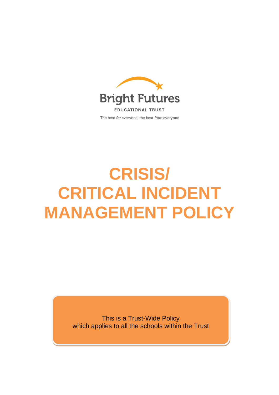

# **CRISIS/ CRITICAL INCIDENT MANAGEMENT POLICY**

This is a Trust-Wide Policy which applies to all the schools within the Trust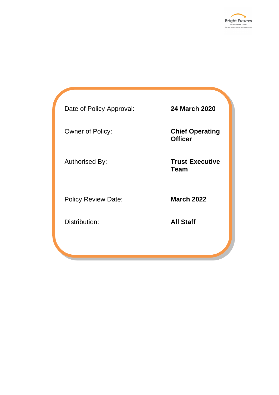

Date of Policy Approval: **24 March 2020**

Policy Review Date: **March 2022** 

Distribution: **All Staff**

Owner of Policy: **Chief Operating Officer**

Authorised By: **Trust Executive Team**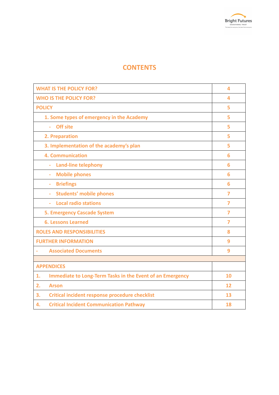# **CONTENTS**

| <b>WHAT IS THE POLICY FOR?</b>                                  | 4              |
|-----------------------------------------------------------------|----------------|
| <b>WHO IS THE POLICY FOR?</b>                                   | 4              |
| <b>POLICY</b>                                                   | 5              |
| 1. Some types of emergency in the Academy                       | 5              |
| <b>Off site</b><br>ä,                                           | 5              |
| 2. Preparation                                                  | 5              |
| 3. Implementation of the academy's plan                         | 5              |
| <b>4. Communication</b>                                         | 6              |
| <b>Land-line telephony</b><br>ш,                                | 6              |
| <b>Mobile phones</b><br>÷                                       | 6              |
| <b>Briefings</b><br>$\bar{a}$                                   | 6              |
| <b>Students' mobile phones</b><br>$\omega$                      | $\overline{7}$ |
| <b>Local radio stations</b><br>÷.                               | 7              |
| <b>5. Emergency Cascade System</b>                              | 7              |
| <b>6. Lessons Learned</b>                                       | $\overline{7}$ |
| <b>ROLES AND RESPONSIBILITIES</b>                               | 8              |
| <b>FURTHER INFORMATION</b>                                      | 9              |
| <b>Associated Documents</b>                                     | 9              |
|                                                                 |                |
| <b>APPENDICES</b>                                               |                |
| Immediate to Long-Term Tasks in the Event of an Emergency<br>1. | 10             |
| <b>Arson</b><br>2.                                              | 12             |
| <b>Critical incident response procedure checklist</b><br>3.     | 13             |
| <b>Critical Incident Communication Pathway</b><br>4.            | 18             |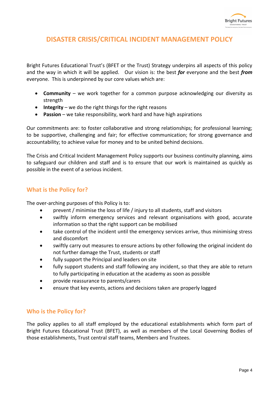## **DISASTER CRISIS/CRITICAL INCIDENT MANAGEMENT POLICY**

Bright Futures Educational Trust's (BFET or the Trust) Strategy underpins all aspects of this policy and the way in which it will be applied. Our vision is: the best *for* everyone and the best *from* everyone. This is underpinned by our core values which are:

- **Community** we work together for a common purpose acknowledging our diversity as strength
- **Integrity** we do the right things for the right reasons
- **Passion** we take responsibility, work hard and have high aspirations

Our commitments are: to foster collaborative and strong relationships; for professional learning; to be supportive, challenging and fair; for effective communication; for strong governance and accountability; to achieve value for money and to be united behind decisions.

The Crisis and Critical Incident Management Policy supports our business continuity planning, aims to safeguard our children and staff and is to ensure that our work is maintained as quickly as possible in the event of a serious incident.

## **What is the Policy for?**

The over-arching purposes of this Policy is to:

- prevent / minimise the loss of life / injury to all students, staff and visitors
- swiftly inform emergency services and relevant organisations with good, accurate information so that the right support can be mobilised
- take control of the incident until the emergency services arrive, thus minimising stress and discomfort
- swiftly carry out measures to ensure actions by other following the original incident do not further damage the Trust, students or staff
- fully support the Principal and leaders on site
- fully support students and staff following any incident, so that they are able to return to fully participating in education at the academy as soon as possible
- provide reassurance to parents/carers
- ensure that key events, actions and decisions taken are properly logged

## **Who is the Policy for?**

The policy applies to all staff employed by the educational establishments which form part of Bright Futures Educational Trust (BFET), as well as members of the Local Governing Bodies of those establishments, Trust central staff teams, Members and Trustees.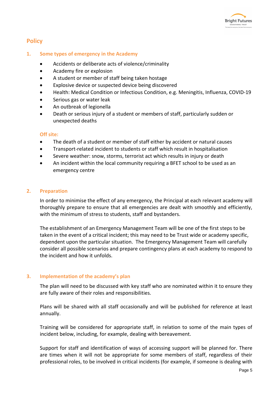

## **Policy**

#### **1. Some types of emergency in the Academy**

- Accidents or deliberate acts of violence/criminality
- Academy fire or explosion
- A student or member of staff being taken hostage
- Explosive device or suspected device being discovered
- Health: Medical Condition or Infectious Condition, e.g. Meningitis, Influenza, COVID-19
- Serious gas or water leak
- An outbreak of legionella
- Death or serious injury of a student or members of staff, particularly sudden or unexpected deaths

#### **Off site:**

- The death of a student or member of staff either by accident or natural causes
- Transport-related incident to students or staff which result in hospitalisation
- Severe weather: snow, storms, terrorist act which results in injury or death
- An incident within the local community requiring a BFET school to be used as an emergency centre

#### **2. Preparation**

In order to minimise the effect of any emergency, the Principal at each relevant academy will thoroughly prepare to ensure that all emergencies are dealt with smoothly and efficiently, with the minimum of stress to students, staff and bystanders.

The establishment of an Emergency Management Team will be one of the first steps to be taken in the event of a critical incident; this may need to be Trust wide or academy specific, dependent upon the particular situation. The Emergency Management Team will carefully consider all possible scenarios and prepare contingency plans at each academy to respond to the incident and how it unfolds.

#### **3. Implementation of the academy's plan**

The plan will need to be discussed with key staff who are nominated within it to ensure they are fully aware of their roles and responsibilities.

Plans will be shared with all staff occasionally and will be published for reference at least annually.

Training will be considered for appropriate staff, in relation to some of the main types of incident below, including, for example, dealing with bereavement.

Support for staff and identification of ways of accessing support will be planned for. There are times when it will not be appropriate for some members of staff, regardless of their professional roles, to be involved in critical incidents (for example, if someone is dealing with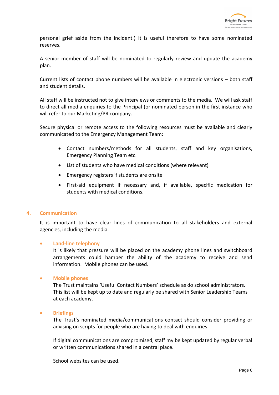personal grief aside from the incident.) It is useful therefore to have some nominated reserves.

A senior member of staff will be nominated to regularly review and update the academy plan.

Current lists of contact phone numbers will be available in electronic versions – both staff and student details.

All staff will be instructed not to give interviews or comments to the media. We will ask staff to direct all media enquiries to the Principal (or nominated person in the first instance who will refer to our Marketing/PR company.

Secure physical or remote access to the following resources must be available and clearly communicated to the Emergency Management Team:

- Contact numbers/methods for all students, staff and key organisations, Emergency Planning Team etc.
- List of students who have medical conditions (where relevant)
- Emergency registers if students are onsite
- First-aid equipment if necessary and, if available, specific medication for students with medical conditions.

#### **4. Communication**

It is important to have clear lines of communication to all stakeholders and external agencies, including the media.

#### • **Land-line telephony**

It is likely that pressure will be placed on the academy phone lines and switchboard arrangements could hamper the ability of the academy to receive and send information. Mobile phones can be used.

#### • **Mobile phones**

The Trust maintains 'Useful Contact Numbers' schedule as do school administrators. This list will be kept up to date and regularly be shared with Senior Leadership Teams at each academy.

#### • **Briefings**

The Trust's nominated media/communications contact should consider providing or advising on scripts for people who are having to deal with enquiries.

If digital communications are compromised, staff my be kept updated by regular verbal or written communications shared in a central place.

School websites can be used.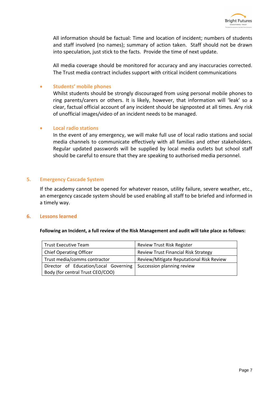

All information should be factual: Time and location of incident; numbers of students and staff involved (no names); summary of action taken. Staff should not be drawn into speculation, just stick to the facts. Provide the time of next update.

All media coverage should be monitored for accuracy and any inaccuracies corrected. The Trust media contract includes support with critical incident communications

#### • **Students' mobile phones**

Whilst students should be strongly discouraged from using personal mobile phones to ring parents/carers or others. It is likely, however, that information will 'leak' so a clear, factual official account of any incident should be signposted at all times. Any risk of unofficial images/video of an incident needs to be managed.

#### • **Local radio stations**

In the event of any emergency, we will make full use of local radio stations and social media channels to communicate effectively with all families and other stakeholders. Regular updated passwords will be supplied by local media outlets but school staff should be careful to ensure that they are speaking to authorised media personnel.

#### **5. Emergency Cascade System**

If the academy cannot be opened for whatever reason, utility failure, severe weather, etc., an emergency cascade system should be used enabling all staff to be briefed and informed in a timely way.

#### **6. Lessons learned**

#### **Following an Incident, a full review of the Risk Management and audit will take place as follows:**

| <b>Trust Executive Team</b>           | <b>Review Trust Risk Register</b>           |
|---------------------------------------|---------------------------------------------|
| <b>Chief Operating Officer</b>        | <b>Review Trust Financial Risk Strategy</b> |
| Trust media/comms contractor          | Review/Mitigate Reputational Risk Review    |
| Director of Education/Local Governing | Succession planning review                  |
| Body (for central Trust CEO/COO)      |                                             |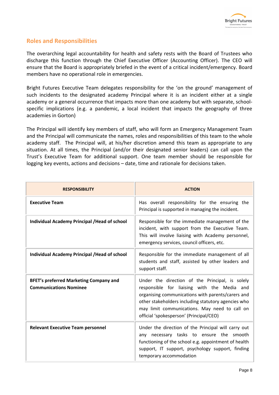### **Roles and Responsibilities**

The overarching legal accountability for health and safety rests with the Board of Trustees who discharge this function through the Chief Executive Officer (Accounting Officer). The CEO will ensure that the Board is appropriately briefed in the event of a critical incident/emergency. Board members have no operational role in emergencies.

Bright Futures Executive Team delegates responsibility for the 'on the ground' management of such incidents to the designated academy Principal where it is an incident either at a single academy or a general occurrence that impacts more than one academy but with separate, schoolspecific implications (e.g. a pandemic, a local incident that impacts the geography of three academies in Gorton)

The Principal will identify key members of staff, who will form an Emergency Management Team and the Principal will communicate the names, roles and responsibilities of this team to the whole academy staff. The Principal will, at his/her discretion amend this team as appropriate to any situation. At all times, the Principal (and/or their designated senior leaders) can call upon the Trust's Executive Team for additional support. One team member should be responsible for logging key events, actions and decisions – date, time and rationale for decisions taken.

| <b>RESPONSIBILITY</b>                                                          | <b>ACTION</b>                                                                                                                                                                                                                                                                                          |
|--------------------------------------------------------------------------------|--------------------------------------------------------------------------------------------------------------------------------------------------------------------------------------------------------------------------------------------------------------------------------------------------------|
| <b>Executive Team</b>                                                          | Has overall responsibility for the ensuring the<br>Principal is supported in managing the incident.                                                                                                                                                                                                    |
| Individual Academy Principal / Head of school                                  | Responsible for the immediate management of the<br>incident, with support from the Executive Team.<br>This will involve liaising with Academy personnel,<br>emergency services, council officers, etc.                                                                                                 |
| Individual Academy Principal / Head of school                                  | Responsible for the immediate management of all<br>students and staff, assisted by other leaders and<br>support staff.                                                                                                                                                                                 |
| <b>BFET's preferred Marketing Company and</b><br><b>Communications Nominee</b> | Under the direction of the Principal, is solely<br>responsible for liaising with the Media and<br>organising communications with parents/carers and<br>other stakeholders including statutory agencies who<br>may limit communications. May need to call on<br>official 'spokesperson' (Principal/CEO) |
| <b>Relevant Executive Team personnel</b>                                       | Under the direction of the Principal will carry out<br>any necessary tasks to ensure the smooth<br>functioning of the school e.g. appointment of health<br>support, IT support, psychology support, finding<br>temporary accommodation                                                                 |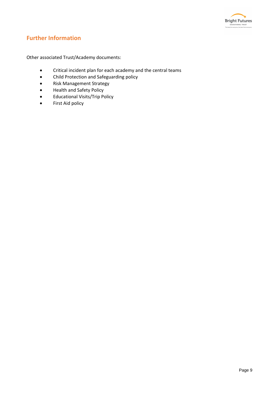

## **Further Information**

Other associated Trust/Academy documents:

- Critical incident plan for each academy and the central teams
- Child Protection and Safeguarding policy
- Risk Management Strategy
- Health and Safety Policy
- Educational Visits/Trip Policy
- First Aid policy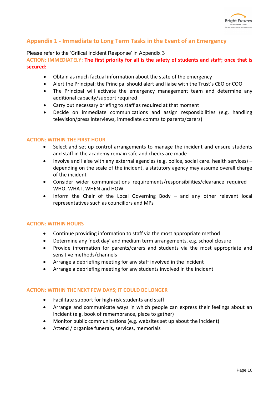## **Appendix 1 - Immediate to Long Term Tasks in the Event of an Emergency**

#### Please refer to the 'Critical Incident Response' in Appendix 3

**ACTION: IMMEDIATELY: The first priority for all is the safety of students and staff; once that is secured:**

- Obtain as much factual information about the state of the emergency
- Alert the Principal; the Principal should alert and liaise with the Trust's CEO or COO
- The Principal will activate the emergency management team and determine any additional capacity/support required
- Carry out necessary briefing to staff as required at that moment
- Decide on immediate communications and assign responsibilities (e.g. handling television/press interviews, immediate comms to parents/carers)

#### **ACTION: WITHIN THE FIRST HOUR**

- Select and set up control arrangements to manage the incident and ensure students and staff in the academy remain safe and checks are made
- Involve and liaise with any external agencies (e.g. police, social care. health services) depending on the scale of the incident, a statutory agency may assume overall charge of the incident
- Consider wider communications requirements/responsibilities/clearance required WHO, WHAT, WHEN and HOW
- Inform the Chair of the Local Governing Body and any other relevant local representatives such as councillors and MPs

#### **ACTION: WITHIN HOURS**

- Continue providing information to staff via the most appropriate method
- Determine any 'next day' and medium term arrangements, e.g. school closure
- Provide information for parents/carers and students via the most appropriate and sensitive methods/channels
- Arrange a debriefing meeting for any staff involved in the incident
- Arrange a debriefing meeting for any students involved in the incident

#### **ACTION: WITHIN THE NEXT FEW DAYS; IT COULD BE LONGER**

- Facilitate support for high-risk students and staff
- Arrange and communicate ways in which people can express their feelings about an incident (e.g. book of remembrance, place to gather)
- Monitor public communications (e.g. websites set up about the incident)
- Attend / organise funerals, services, memorials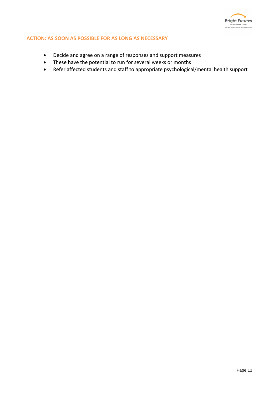

#### **ACTION: AS SOON AS POSSIBLE FOR AS LONG AS NECESSARY**

- Decide and agree on a range of responses and support measures
- These have the potential to run for several weeks or months
- Refer affected students and staff to appropriate psychological/mental health support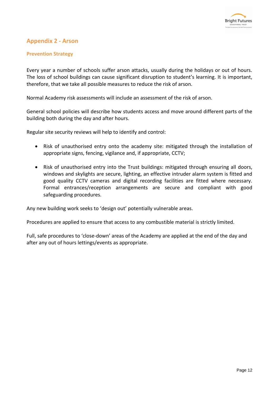## **Appendix 2 - Arson**

#### **Prevention Strategy**

Every year a number of schools suffer arson attacks, usually during the holidays or out of hours. The loss of school buildings can cause significant disruption to student's learning. It is important, therefore, that we take all possible measures to reduce the risk of arson.

Normal Academy risk assessments will include an assessment of the risk of arson.

General school policies will describe how students access and move around different parts of the building both during the day and after hours.

Regular site security reviews will help to identify and control:

- Risk of unauthorised entry onto the academy site: mitigated through the installation of appropriate signs, fencing, vigilance and, if appropriate, CCTV;
- Risk of unauthorised entry into the Trust buildings: mitigated through ensuring all doors, windows and skylights are secure, lighting, an effective intruder alarm system is fitted and good quality CCTV cameras and digital recording facilities are fitted where necessary. Formal entrances/reception arrangements are secure and compliant with good safeguarding procedures.

Any new building work seeks to 'design out' potentially vulnerable areas.

Procedures are applied to ensure that access to any combustible material is strictly limited.

Full, safe procedures to 'close-down' areas of the Academy are applied at the end of the day and after any out of hours lettings/events as appropriate.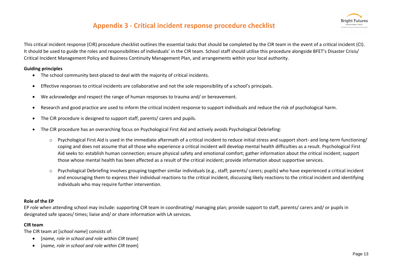# **Appendix 3 - Critical incident response procedure checklist**



This critical incident response (CIR) procedure checklist outlines the essential tasks that should be completed by the CIR team in the event of a critical incident (CI). It should be used to guide the roles and responsibilities of individuals' in the CIR team. School staff should utilise this procedure alongside BFET's Disaster Crisis/ Critical Incident Management Policy and Business Continuity Management Plan, and arrangements within your local authority.

#### **Guiding principles**

- The school community best-placed to deal with the majority of critical incidents.
- Effective responses to critical incidents are collaborative and not the sole responsibility of a school's principals.
- We acknowledge and respect the range of human responses to trauma and/ or bereavement.
- Research and good practice are used to inform the critical incident response to support individuals and reduce the risk of psychological harm.
- The CIR procedure is designed to support staff, parents/ carers and pupils.
- The CIR procedure has an overarching focus on Psychological First Aid and actively avoids Psychological Debriefing:
	- $\circ$  Psychological First Aid is used in the immediate aftermath of a critical incident to reduce initial stress and support short- and long-term functioning/ coping and does not assume that all those who experience a critical incident will develop mental health difficulties as a result. Psychological First Aid seeks to: establish human connection; ensure physical safety and emotional comfort; gather information about the critical incident; support those whose mental health has been affected as a result of the critical incident; provide information about supportive services.
	- o Psychological Debriefing involves grouping together similar individuals (e.g., staff; parents/ carers; pupils) who have experienced a critical incident and encouraging them to express their individual reactions to the critical incident, discussing likely reactions to the critical incident and identifying individuals who may require further intervention.

#### **Role of the EP**

EP role when attending school may include: supporting CIR team in coordinating/ managing plan; provide support to staff, parents/ carers and/ or pupils in designated safe spaces/ times; liaise and/ or share information with LA services.

#### **CIR team**

The CIR team at [*school name*] consists of:

- [*name, role in school and role within CIR team*]
- [*name, role in school and role within CIR team*]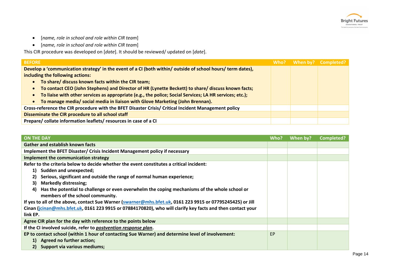

- [*name, role in school and role within CIR team*]
- [*name, role in school and role within CIR team*]

This CIR procedure was developed on [*date*]. It should be reviewed/ updated on [*date*].

| <b>BEFORE</b>                                                                                                        |  | Who? When by? Completed? |
|----------------------------------------------------------------------------------------------------------------------|--|--------------------------|
| Develop a 'communication strategy' in the event of a CI (both within/ outside of school hours/ term dates),          |  |                          |
| including the following actions:                                                                                     |  |                          |
| • To share/ discuss known facts within the CIR team;                                                                 |  |                          |
| • To contact CEO (John Stephens) and Director of HR (Lynette Beckett) to share/ discuss known facts;                 |  |                          |
| To liaise with other services as appropriate (e.g., the police; Social Services; LA HR services; etc.);<br>$\bullet$ |  |                          |
| • To manage media/ social media in liaison with Glove Marketing (John Brennan).                                      |  |                          |
| Cross-reference the CIR procedure with the BFET Disaster Crisis/ Critical Incident Management policy                 |  |                          |
| Disseminate the CIR procedure to all school staff                                                                    |  |                          |
| Prepare/collate information leaflets/resources in case of a CI                                                       |  |                          |

| <b>ON THE DAY</b>                                                                                          | Who?      | When by? | Completed? |
|------------------------------------------------------------------------------------------------------------|-----------|----------|------------|
| <b>Gather and establish known facts</b>                                                                    |           |          |            |
| Implement the BFET Disaster/ Crisis Incident Management policy if necessary                                |           |          |            |
| Implement the communication strategy                                                                       |           |          |            |
| Refer to the criteria below to decide whether the event constitutes a critical incident:                   |           |          |            |
| 1) Sudden and unexpected;                                                                                  |           |          |            |
| Serious, significant and outside the range of normal human experience;<br>2)                               |           |          |            |
| <b>Markedly distressing;</b><br>3)                                                                         |           |          |            |
| Has the potential to challenge or even overwhelm the coping mechanisms of the whole school or<br>4)        |           |          |            |
| members of the school community.                                                                           |           |          |            |
| If yes to all of the above, contact Sue Warner (swarner@mhs.bfet.uk, 0161 223 9915 or 07795245425) or Jill |           |          |            |
| Cinan (jcinan@mhs.bfet.uk, 0161 223 9915 or 07884170820), who will clarify key facts and then contact your |           |          |            |
| link EP.                                                                                                   |           |          |            |
| Agree CIR plan for the day with reference to the points below                                              |           |          |            |
| If the CI involved suicide, refer to postvention response plan.                                            |           |          |            |
| EP to contact school (within 1 hour of contacting Sue Warner) and determine level of involvement:          | <b>EP</b> |          |            |
| 1) Agreed no further action;                                                                               |           |          |            |
| 2) Support via various mediums;                                                                            |           |          |            |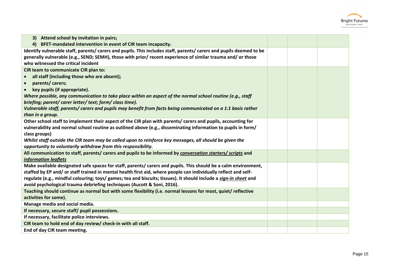

| Identify vulnerable staff, parents/carers and pupils. This includes staff, parents/carers and pupils deemed to be |  |
|-------------------------------------------------------------------------------------------------------------------|--|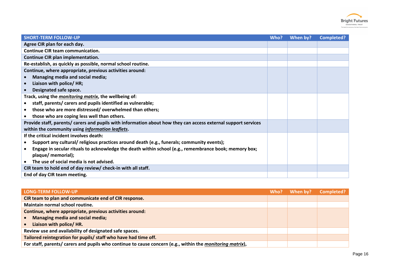

| <b>SHORT-TERM FOLLOW-UP</b>                                                                                   | Who? | When by? | <b>Completed?</b> |
|---------------------------------------------------------------------------------------------------------------|------|----------|-------------------|
| Agree CIR plan for each day.                                                                                  |      |          |                   |
| <b>Continue CIR team communication.</b>                                                                       |      |          |                   |
| Continue CIR plan implementation.                                                                             |      |          |                   |
| Re-establish, as quickly as possible, normal school routine.                                                  |      |          |                   |
| Continue, where appropriate, previous activities around:                                                      |      |          |                   |
| Managing media and social media;                                                                              |      |          |                   |
| Liaison with police/ HR;                                                                                      |      |          |                   |
| Designated safe space.                                                                                        |      |          |                   |
| Track, using the monitoring matrix, the wellbeing of:                                                         |      |          |                   |
| staff, parents/ carers and pupils identified as vulnerable;                                                   |      |          |                   |
| those who are more distressed/overwhelmed than others;                                                        |      |          |                   |
| those who are coping less well than others.                                                                   |      |          |                   |
| Provide staff, parents/carers and pupils with information about how they can access external support services |      |          |                   |
| within the community using information leaflets.                                                              |      |          |                   |
| If the critical incident involves death:                                                                      |      |          |                   |
| Support any cultural/ religious practices around death (e.g., funerals; community events);                    |      |          |                   |
| Engage in secular rituals to acknowledge the death within school (e.g., remembrance book; memory box;         |      |          |                   |
| plaque/ memorial);                                                                                            |      |          |                   |
| The use of social media is not advised.                                                                       |      |          |                   |
| CIR team to hold end of day review/ check-in with all staff.                                                  |      |          |                   |
| End of day CIR team meeting.                                                                                  |      |          |                   |

| <b>LONG-TERM FOLLOW-UP</b>                                                                                | Who? | When by? | <b>Completed?</b> |
|-----------------------------------------------------------------------------------------------------------|------|----------|-------------------|
| CIR team to plan and communicate end of CIR response.                                                     |      |          |                   |
| Maintain normal school routine.                                                                           |      |          |                   |
| Continue, where appropriate, previous activities around:                                                  |      |          |                   |
| <b>Managing media and social media;</b>                                                                   |      |          |                   |
| Liaison with police/ HR.                                                                                  |      |          |                   |
| Review use and availability of designated safe spaces.                                                    |      |          |                   |
| Tailored reintegration for pupils/ staff who have had time off.                                           |      |          |                   |
| For staff, parents/ carers and pupils who continue to cause concern (e.g., within the monitoring matrix), |      |          |                   |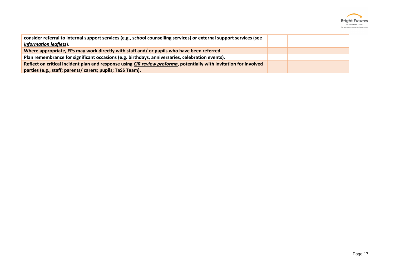

| consider referral to internal support services (e.g., school counselling services) or external support services (see<br><i>information leaflets).</i> |  |  |
|-------------------------------------------------------------------------------------------------------------------------------------------------------|--|--|
| Where appropriate, EPs may work directly with staff and/ or pupils who have been referred                                                             |  |  |
| Plan remembrance for significant occasions (e.g. birthdays, anniversaries, celebration events).                                                       |  |  |
| Reflect on critical incident plan and response using CIR review proforma, potentially with invitation for involved                                    |  |  |
| parties (e.g., staff; parents/ carers; pupils; TaSS Team).                                                                                            |  |  |